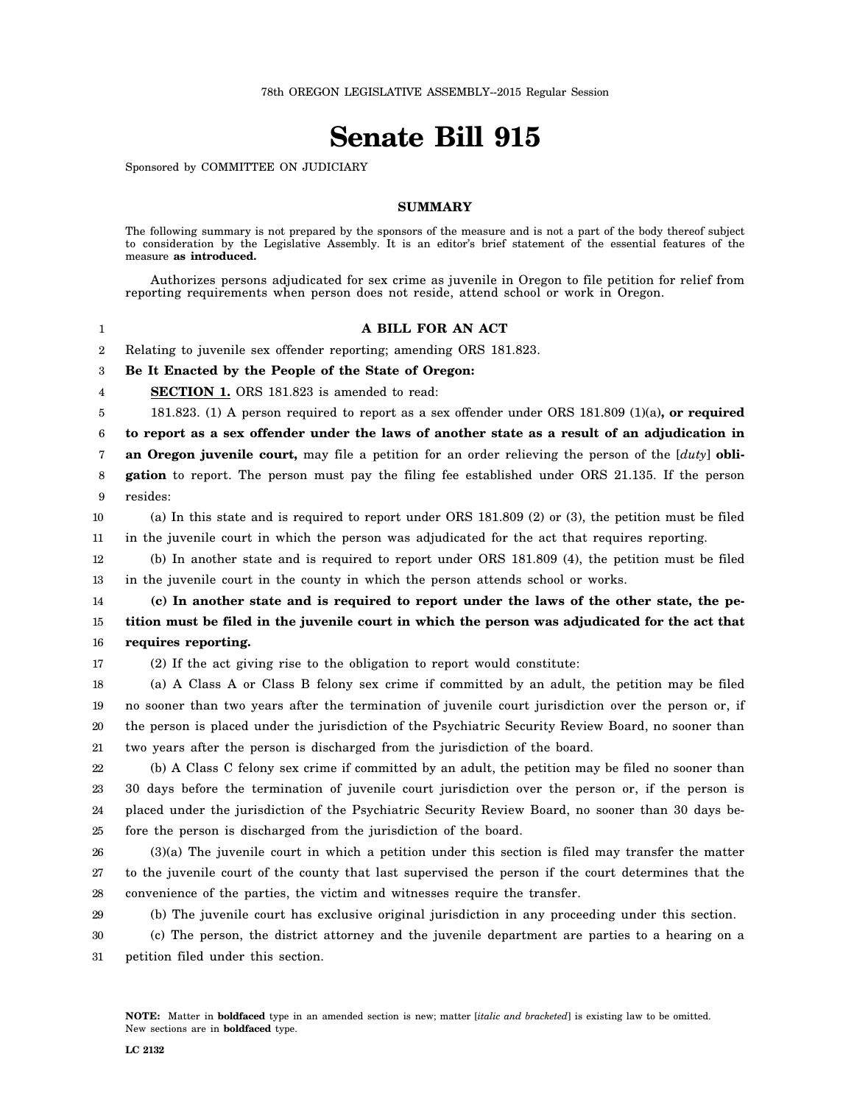## **Senate Bill 915**

Sponsored by COMMITTEE ON JUDICIARY

## **SUMMARY**

The following summary is not prepared by the sponsors of the measure and is not a part of the body thereof subject to consideration by the Legislative Assembly. It is an editor's brief statement of the essential features of the measure **as introduced.**

|                  | Authorizes persons adjudicated for sex crime as juvenile in Oregon to file petition for relief from<br>reporting requirements when person does not reside, attend school or work in Oregon. |
|------------------|---------------------------------------------------------------------------------------------------------------------------------------------------------------------------------------------|
| 1                | A BILL FOR AN ACT                                                                                                                                                                           |
| $\boldsymbol{2}$ | Relating to juvenile sex offender reporting; amending ORS 181.823.                                                                                                                          |
| 3                | Be It Enacted by the People of the State of Oregon:                                                                                                                                         |
| 4                | SECTION 1. ORS 181.823 is amended to read:                                                                                                                                                  |
| 5                | 181.823. (1) A person required to report as a sex offender under ORS 181.809 (1)(a), or required                                                                                            |
| 6                | to report as a sex offender under the laws of another state as a result of an adjudication in                                                                                               |
| 7                | an Oregon juvenile court, may file a petition for an order relieving the person of the [duty] obli-                                                                                         |
| 8                | gation to report. The person must pay the filing fee established under ORS 21.135. If the person                                                                                            |
| 9                | resides:                                                                                                                                                                                    |
| 10               | (a) In this state and is required to report under ORS 181.809 (2) or (3), the petition must be filed                                                                                        |
| 11               | in the juvenile court in which the person was adjudicated for the act that requires reporting.                                                                                              |
| 12               | (b) In another state and is required to report under ORS 181.809 (4), the petition must be filed                                                                                            |
| 13               | in the juvenile court in the county in which the person attends school or works.                                                                                                            |
| 14               | (c) In another state and is required to report under the laws of the other state, the pe-                                                                                                   |
| 15               | tition must be filed in the juvenile court in which the person was adjudicated for the act that                                                                                             |
| 16               | requires reporting.                                                                                                                                                                         |
| 17               | (2) If the act giving rise to the obligation to report would constitute:                                                                                                                    |
| 18               | (a) A Class A or Class B felony sex crime if committed by an adult, the petition may be filed                                                                                               |
| 19               | no sooner than two years after the termination of juvenile court jurisdiction over the person or, if                                                                                        |
| 20               | the person is placed under the jurisdiction of the Psychiatric Security Review Board, no sooner than                                                                                        |
| 21               | two years after the person is discharged from the jurisdiction of the board.                                                                                                                |
| 22               | (b) A Class C felony sex crime if committed by an adult, the petition may be filed no sooner than                                                                                           |
| 23               | 30 days before the termination of juvenile court jurisdiction over the person or, if the person is                                                                                          |
| 24               | placed under the jurisdiction of the Psychiatric Security Review Board, no sooner than 30 days be-                                                                                          |
| 25               | fore the person is discharged from the jurisdiction of the board.                                                                                                                           |
| 26               | $(3)(a)$ The juvenile court in which a petition under this section is filed may transfer the matter                                                                                         |
| 27               | to the juvenile court of the county that last supervised the person if the court determines that the                                                                                        |
| 28               | convenience of the parties, the victim and witnesses require the transfer.                                                                                                                  |
| 29               | (b) The juvenile court has exclusive original jurisdiction in any proceeding under this section.                                                                                            |
| 30               | (c) The person, the district attorney and the juvenile department are parties to a hearing on a                                                                                             |
| 31               | petition filed under this section.                                                                                                                                                          |
|                  |                                                                                                                                                                                             |
|                  |                                                                                                                                                                                             |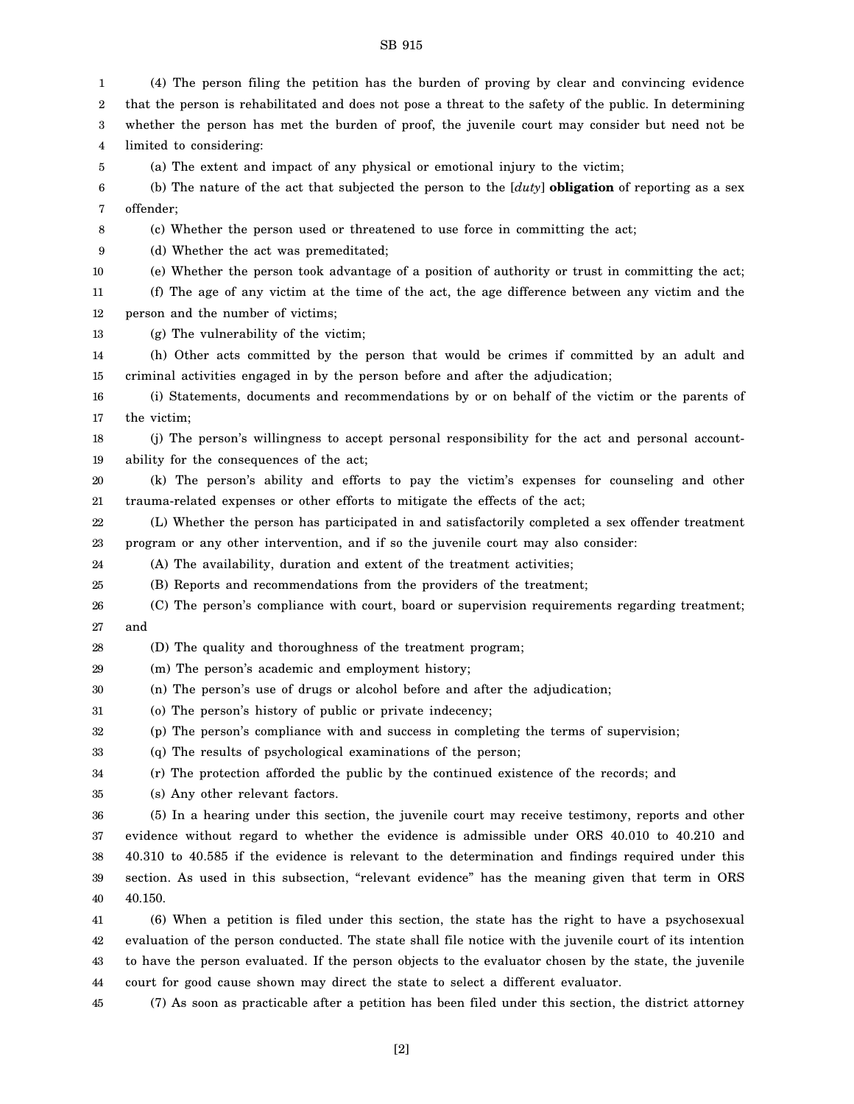1 2 3 4 5 6 7 8 9 10 11 12 13 14 15 16 17 18 19 20 21 22 23 24 25 26 27 28 29 30 31 32 33 34 35 36 37 38 39 40 41 42 43 44 45 (4) The person filing the petition has the burden of proving by clear and convincing evidence that the person is rehabilitated and does not pose a threat to the safety of the public. In determining whether the person has met the burden of proof, the juvenile court may consider but need not be limited to considering: (a) The extent and impact of any physical or emotional injury to the victim; (b) The nature of the act that subjected the person to the [*duty*] **obligation** of reporting as a sex offender; (c) Whether the person used or threatened to use force in committing the act; (d) Whether the act was premeditated; (e) Whether the person took advantage of a position of authority or trust in committing the act; (f) The age of any victim at the time of the act, the age difference between any victim and the person and the number of victims; (g) The vulnerability of the victim; (h) Other acts committed by the person that would be crimes if committed by an adult and criminal activities engaged in by the person before and after the adjudication; (i) Statements, documents and recommendations by or on behalf of the victim or the parents of the victim; (j) The person's willingness to accept personal responsibility for the act and personal accountability for the consequences of the act; (k) The person's ability and efforts to pay the victim's expenses for counseling and other trauma-related expenses or other efforts to mitigate the effects of the act; (L) Whether the person has participated in and satisfactorily completed a sex offender treatment program or any other intervention, and if so the juvenile court may also consider: (A) The availability, duration and extent of the treatment activities; (B) Reports and recommendations from the providers of the treatment; (C) The person's compliance with court, board or supervision requirements regarding treatment; and (D) The quality and thoroughness of the treatment program; (m) The person's academic and employment history; (n) The person's use of drugs or alcohol before and after the adjudication; (o) The person's history of public or private indecency; (p) The person's compliance with and success in completing the terms of supervision; (q) The results of psychological examinations of the person; (r) The protection afforded the public by the continued existence of the records; and (s) Any other relevant factors. (5) In a hearing under this section, the juvenile court may receive testimony, reports and other evidence without regard to whether the evidence is admissible under ORS 40.010 to 40.210 and 40.310 to 40.585 if the evidence is relevant to the determination and findings required under this section. As used in this subsection, "relevant evidence" has the meaning given that term in ORS 40.150. (6) When a petition is filed under this section, the state has the right to have a psychosexual evaluation of the person conducted. The state shall file notice with the juvenile court of its intention to have the person evaluated. If the person objects to the evaluator chosen by the state, the juvenile court for good cause shown may direct the state to select a different evaluator. (7) As soon as practicable after a petition has been filed under this section, the district attorney

[2]

SB 915